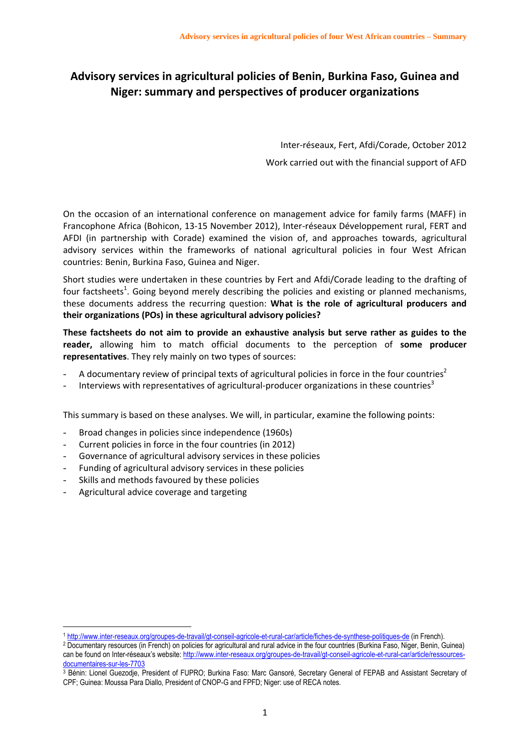# **Advisory services in agricultural policies of Benin, Burkina Faso, Guinea and Niger: summary and perspectives of producer organizations**

Inter-réseaux, Fert, Afdi/Corade, October 2012 Work carried out with the financial support of AFD

On the occasion of an international conference on management advice for family farms (MAFF) in Francophone Africa (Bohicon, 13-15 November 2012), Inter-réseaux Développement rural, FERT and AFDI (in partnership with Corade) examined the vision of, and approaches towards, agricultural advisory services within the frameworks of national agricultural policies in four West African countries: Benin, Burkina Faso, Guinea and Niger.

Short studies were undertaken in these countries by Fert and Afdi/Corade leading to the drafting of four factsheets<sup>1</sup>. Going beyond merely describing the policies and existing or planned mechanisms, these documents address the recurring question: **What is the role of agricultural producers and their organizations (POs) in these agricultural advisory policies?**

**These factsheets do not aim to provide an exhaustive analysis but serve rather as guides to the reader,** allowing him to match official documents to the perception of **some producer representatives**. They rely mainly on two types of sources:

- A documentary review of principal texts of agricultural policies in force in the four countries<sup>2</sup>
- Interviews with representatives of agricultural-producer organizations in these countries<sup>3</sup>

This summary is based on these analyses. We will, in particular, examine the following points:

- Broad changes in policies since independence (1960s)
- Current policies in force in the four countries (in 2012)
- Governance of agricultural advisory services in these policies
- Funding of agricultural advisory services in these policies
- Skills and methods favoured by these policies
- Agricultural advice coverage and targeting

<sup>1</sup> <http://www.inter-reseaux.org/groupes-de-travail/gt-conseil-agricole-et-rural-car/article/fiches-de-synthese-politiques-de> (in French).

<sup>2</sup> Documentary resources (in French) on policies for agricultural and rural advice in the four countries (Burkina Faso, Niger, Benin, Guinea) can be found on Inter-réseaux's website: [http://www.inter-reseaux.org/groupes-de-travail/gt-conseil-agricole-et-rural-car/article/ressources](http://www.inter-reseaux.org/groupes-de-travail/gt-conseil-agricole-et-rural-car/article/ressources-documentaires-sur-les-7703)[documentaires-sur-les-7703](http://www.inter-reseaux.org/groupes-de-travail/gt-conseil-agricole-et-rural-car/article/ressources-documentaires-sur-les-7703)

<sup>3</sup> Bénin: Lionel Guezodje, President of FUPRO; Burkina Faso: Marc Gansoré, Secretary General of FEPAB and Assistant Secretary of CPF; Guinea: Moussa Para Diallo, President of CNOP-G and FPFD; Niger: use of RECA notes.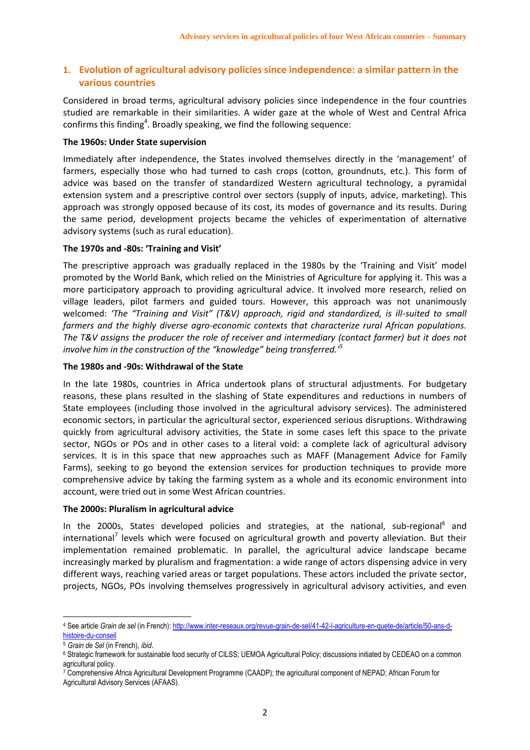# **1. Evolution of agricultural advisory policies since independence: a similar pattern in the various countries**

Considered in broad terms, agricultural advisory policies since independence in the four countries studied are remarkable in their similarities. A wider gaze at the whole of West and Central Africa confirms this finding<sup>4</sup>. Broadly speaking, we find the following sequence:

## **The 1960s: Under State supervision**

Immediately after independence, the States involved themselves directly in the 'management' of farmers, especially those who had turned to cash crops (cotton, groundnuts, etc.). This form of advice was based on the transfer of standardized Western agricultural technology, a pyramidal extension system and a prescriptive control over sectors (supply of inputs, advice, marketing). This approach was strongly opposed because of its cost, its modes of governance and its results. During the same period, development projects became the vehicles of experimentation of alternative advisory systems (such as rural education).

# **The 1970s and -80s: 'Training and Visit'**

The prescriptive approach was gradually replaced in the 1980s by the 'Training and Visit' model promoted by the World Bank, which relied on the Ministries of Agriculture for applying it. This was a more participatory approach to providing agricultural advice. It involved more research, relied on village leaders, pilot farmers and guided tours. However, this approach was not unanimously welcomed: *'The "Training and Visit" (T&V) approach, rigid and standardized, is ill-suited to small farmers and the highly diverse agro-economic contexts that characterize rural African populations. The T&V assigns the producer the role of receiver and intermediary (contact farmer) but it does not involve him in the construction of the "knowledge" being transferred.' 5*

# **The 1980s and -90s: Withdrawal of the State**

In the late 1980s, countries in Africa undertook plans of structural adjustments. For budgetary reasons, these plans resulted in the slashing of State expenditures and reductions in numbers of State employees (including those involved in the agricultural advisory services). The administered economic sectors, in particular the agricultural sector, experienced serious disruptions. Withdrawing quickly from agricultural advisory activities, the State in some cases left this space to the private sector, NGOs or POs and in other cases to a literal void: a complete lack of agricultural advisory services. It is in this space that new approaches such as MAFF (Management Advice for Family Farms), seeking to go beyond the extension services for production techniques to provide more comprehensive advice by taking the farming system as a whole and its economic environment into account, were tried out in some West African countries.

#### **The 2000s: Pluralism in agricultural advice**

In the 2000s, States developed policies and strategies, at the national, sub-regional<sup>6</sup> and international<sup>7</sup> levels which were focused on agricultural growth and poverty alleviation. But their implementation remained problematic. In parallel, the agricultural advice landscape became increasingly marked by pluralism and fragmentation: a wide range of actors dispensing advice in very different ways, reaching varied areas or target populations. These actors included the private sector, projects, NGOs, POs involving themselves progressively in agricultural advisory activities, and even

<sup>4</sup> See article *Grain de sel* (in French)[: http://www.inter-reseaux.org/revue-grain-de-sel/41-42-l-agriculture-en-quete-de/article/50-ans-d](http://www.inter-reseaux.org/revue-grain-de-sel/41-42-l-agriculture-en-quete-de/article/50-ans-d-histoire-du-conseil)[histoire-du-conseil](http://www.inter-reseaux.org/revue-grain-de-sel/41-42-l-agriculture-en-quete-de/article/50-ans-d-histoire-du-conseil)

<sup>5</sup> *Grain de Sel* (in French), *ibid*.

<sup>&</sup>lt;sup>6</sup> Strategic framework for sustainable food security of CILSS; UEMOA Agricultural Policy; discussions initiated by CEDEAO on a common agricultural policy.

<sup>7</sup> Comprehensive Africa Agricultural Development Programme (CAADP); the agricultural component of NEPAD; African Forum for

Agricultural Advisory Services (AFAAS).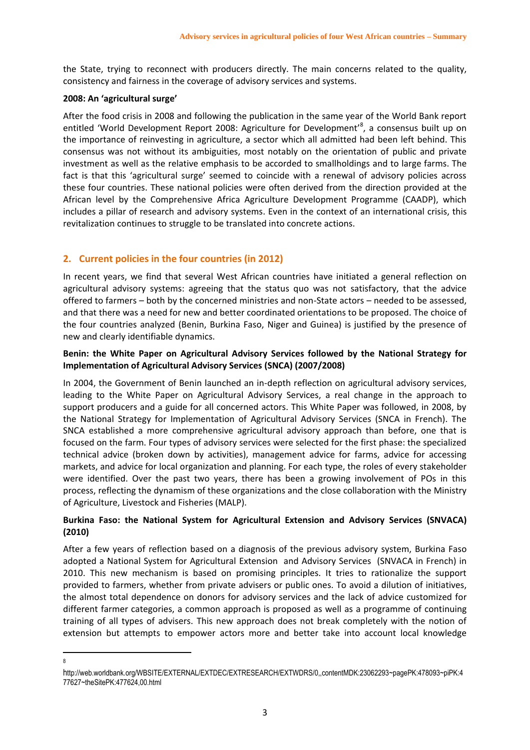the State, trying to reconnect with producers directly. The main concerns related to the quality, consistency and fairness in the coverage of advisory services and systems.

#### **2008: An 'agricultural surge'**

After the food crisis in 2008 and following the publication in the same year of the World Bank report entitled 'World Development Report 2008: Agriculture for Development<sup>'8</sup>, a consensus built up on the importance of reinvesting in agriculture, a sector which all admitted had been left behind. This consensus was not without its ambiguities, most notably on the orientation of public and private investment as well as the relative emphasis to be accorded to smallholdings and to large farms. The fact is that this 'agricultural surge' seemed to coincide with a renewal of advisory policies across these four countries. These national policies were often derived from the direction provided at the African level by the Comprehensive Africa Agriculture Development Programme (CAADP), which includes a pillar of research and advisory systems. Even in the context of an international crisis, this revitalization continues to struggle to be translated into concrete actions.

# **2. Current policies in the four countries (in 2012)**

In recent years, we find that several West African countries have initiated a general reflection on agricultural advisory systems: agreeing that the status quo was not satisfactory, that the advice offered to farmers – both by the concerned ministries and non-State actors – needed to be assessed, and that there was a need for new and better coordinated orientations to be proposed. The choice of the four countries analyzed (Benin, Burkina Faso, Niger and Guinea) is justified by the presence of new and clearly identifiable dynamics.

# **Benin: the White Paper on Agricultural Advisory Services followed by the National Strategy for Implementation of Agricultural Advisory Services (SNCA) (2007/2008)**

In 2004, the Government of Benin launched an in-depth reflection on agricultural advisory services, leading to the White Paper on Agricultural Advisory Services, a real change in the approach to support producers and a guide for all concerned actors. This White Paper was followed, in 2008, by the National Strategy for Implementation of Agricultural Advisory Services (SNCA in French). The SNCA established a more comprehensive agricultural advisory approach than before, one that is focused on the farm. Four types of advisory services were selected for the first phase: the specialized technical advice (broken down by activities), management advice for farms, advice for accessing markets, and advice for local organization and planning. For each type, the roles of every stakeholder were identified. Over the past two years, there has been a growing involvement of POs in this process, reflecting the dynamism of these organizations and the close collaboration with the Ministry of Agriculture, Livestock and Fisheries (MALP).

# **Burkina Faso: the National System for Agricultural Extension and Advisory Services (SNVACA) (2010)**

After a few years of reflection based on a diagnosis of the previous advisory system, Burkina Faso adopted a National System for Agricultural Extension and Advisory Services (SNVACA in French) in 2010. This new mechanism is based on promising principles. It tries to rationalize the support provided to farmers, whether from private advisers or public ones. To avoid a dilution of initiatives, the almost total dependence on donors for advisory services and the lack of advice customized for different farmer categories, a common approach is proposed as well as a programme of continuing training of all types of advisers. This new approach does not break completely with the notion of extension but attempts to empower actors more and better take into account local knowledge

**<sup>.</sup>** 8

http://web.worldbank.org/WBSITE/EXTERNAL/EXTDEC/EXTRESEARCH/EXTWDRS/0,,contentMDK:23062293~pagePK:478093~piPK:4 77627~theSitePK:477624,00.html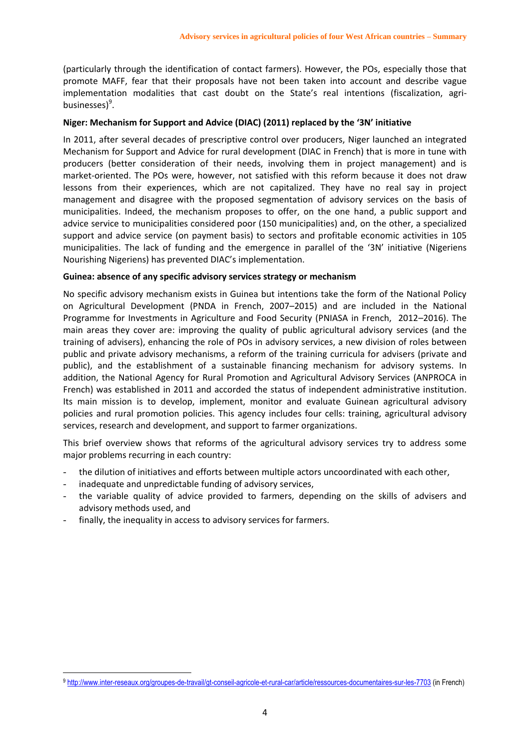(particularly through the identification of contact farmers). However, the POs, especially those that promote MAFF, fear that their proposals have not been taken into account and describe vague implementation modalities that cast doubt on the State's real intentions (fiscalization, agribusinesses)<sup>9</sup>.

## **Niger: Mechanism for Support and Advice (DIAC) (2011) replaced by the '3N' initiative**

In 2011, after several decades of prescriptive control over producers, Niger launched an integrated Mechanism for Support and Advice for rural development (DIAC in French) that is more in tune with producers (better consideration of their needs, involving them in project management) and is market-oriented. The POs were, however, not satisfied with this reform because it does not draw lessons from their experiences, which are not capitalized. They have no real say in project management and disagree with the proposed segmentation of advisory services on the basis of municipalities. Indeed, the mechanism proposes to offer, on the one hand, a public support and advice service to municipalities considered poor (150 municipalities) and, on the other, a specialized support and advice service (on payment basis) to sectors and profitable economic activities in 105 municipalities. The lack of funding and the emergence in parallel of the '3N' initiative (Nigeriens Nourishing Nigeriens) has prevented DIAC's implementation.

# **Guinea: absence of any specific advisory services strategy or mechanism**

No specific advisory mechanism exists in Guinea but intentions take the form of the National Policy on Agricultural Development (PNDA in French, 2007–2015) and are included in the National Programme for Investments in Agriculture and Food Security (PNIASA in French, 2012–2016). The main areas they cover are: improving the quality of public agricultural advisory services (and the training of advisers), enhancing the role of POs in advisory services, a new division of roles between public and private advisory mechanisms, a reform of the training curricula for advisers (private and public), and the establishment of a sustainable financing mechanism for advisory systems. In addition, the National Agency for Rural Promotion and Agricultural Advisory Services (ANPROCA in French) was established in 2011 and accorded the status of independent administrative institution. Its main mission is to develop, implement, monitor and evaluate Guinean agricultural advisory policies and rural promotion policies. This agency includes four cells: training, agricultural advisory services, research and development, and support to farmer organizations.

This brief overview shows that reforms of the agricultural advisory services try to address some major problems recurring in each country:

- the dilution of initiatives and efforts between multiple actors uncoordinated with each other,
- inadequate and unpredictable funding of advisory services,

- the variable quality of advice provided to farmers, depending on the skills of advisers and advisory methods used, and
- finally, the inequality in access to advisory services for farmers.

<sup>9</sup> <http://www.inter-reseaux.org/groupes-de-travail/gt-conseil-agricole-et-rural-car/article/ressources-documentaires-sur-les-7703> (in French)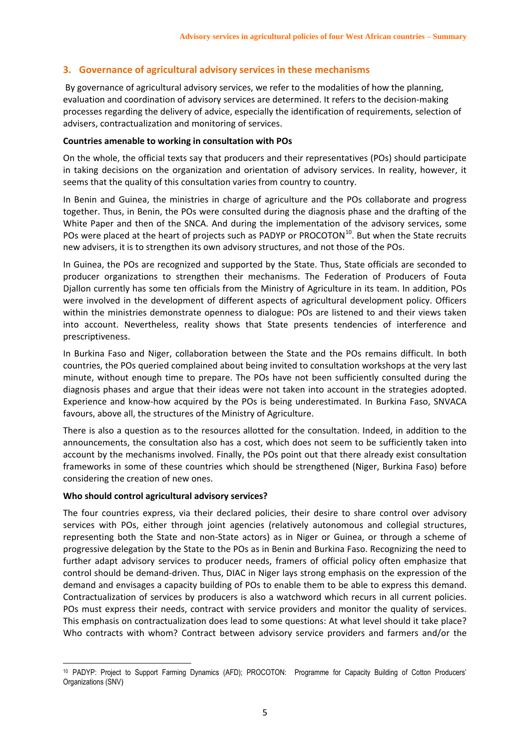# **3. Governance of agricultural advisory services in these mechanisms**

By governance of agricultural advisory services, we refer to the modalities of how the planning, evaluation and coordination of advisory services are determined. It refers to the decision-making processes regarding the delivery of advice, especially the identification of requirements, selection of advisers, contractualization and monitoring of services.

## **Countries amenable to working in consultation with POs**

On the whole, the official texts say that producers and their representatives (POs) should participate in taking decisions on the organization and orientation of advisory services. In reality, however, it seems that the quality of this consultation varies from country to country.

In Benin and Guinea, the ministries in charge of agriculture and the POs collaborate and progress together. Thus, in Benin, the POs were consulted during the diagnosis phase and the drafting of the White Paper and then of the SNCA. And during the implementation of the advisory services, some POs were placed at the heart of projects such as PADYP or PROCOTON<sup>10</sup>. But when the State recruits new advisers, it is to strengthen its own advisory structures, and not those of the POs.

In Guinea, the POs are recognized and supported by the State. Thus, State officials are seconded to producer organizations to strengthen their mechanisms. The Federation of Producers of Fouta Djallon currently has some ten officials from the Ministry of Agriculture in its team. In addition, POs were involved in the development of different aspects of agricultural development policy. Officers within the ministries demonstrate openness to dialogue: POs are listened to and their views taken into account. Nevertheless, reality shows that State presents tendencies of interference and prescriptiveness.

In Burkina Faso and Niger, collaboration between the State and the POs remains difficult. In both countries, the POs queried complained about being invited to consultation workshops at the very last minute, without enough time to prepare. The POs have not been sufficiently consulted during the diagnosis phases and argue that their ideas were not taken into account in the strategies adopted. Experience and know-how acquired by the POs is being underestimated. In Burkina Faso, SNVACA favours, above all, the structures of the Ministry of Agriculture.

There is also a question as to the resources allotted for the consultation. Indeed, in addition to the announcements, the consultation also has a cost, which does not seem to be sufficiently taken into account by the mechanisms involved. Finally, the POs point out that there already exist consultation frameworks in some of these countries which should be strengthened (Niger, Burkina Faso) before considering the creation of new ones.

#### **Who should control agricultural advisory services?**

The four countries express, via their declared policies, their desire to share control over advisory services with POs, either through joint agencies (relatively autonomous and collegial structures, representing both the State and non-State actors) as in Niger or Guinea, or through a scheme of progressive delegation by the State to the POs as in Benin and Burkina Faso. Recognizing the need to further adapt advisory services to producer needs, framers of official policy often emphasize that control should be demand-driven. Thus, DIAC in Niger lays strong emphasis on the expression of the demand and envisages a capacity building of POs to enable them to be able to express this demand. Contractualization of services by producers is also a watchword which recurs in all current policies. POs must express their needs, contract with service providers and monitor the quality of services. This emphasis on contractualization does lead to some questions: At what level should it take place? Who contracts with whom? Contract between advisory service providers and farmers and/or the

**<sup>.</sup>** <sup>10</sup> PADYP: Project to Support Farming Dynamics (AFD); PROCOTON: Programme for Capacity Building of Cotton Producers' Organizations (SNV)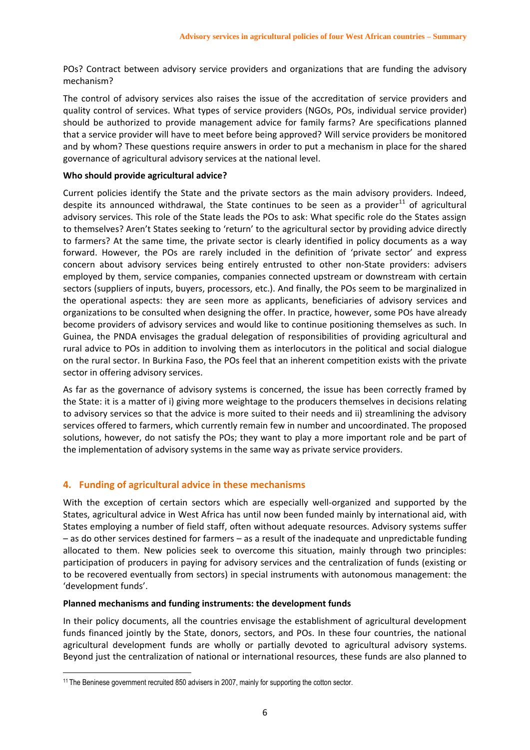POs? Contract between advisory service providers and organizations that are funding the advisory mechanism?

The control of advisory services also raises the issue of the accreditation of service providers and quality control of services. What types of service providers (NGOs, POs, individual service provider) should be authorized to provide management advice for family farms? Are specifications planned that a service provider will have to meet before being approved? Will service providers be monitored and by whom? These questions require answers in order to put a mechanism in place for the shared governance of agricultural advisory services at the national level.

## **Who should provide agricultural advice?**

Current policies identify the State and the private sectors as the main advisory providers. Indeed, despite its announced withdrawal, the State continues to be seen as a provider $^{11}$  of agricultural advisory services. This role of the State leads the POs to ask: What specific role do the States assign to themselves? Aren't States seeking to 'return' to the agricultural sector by providing advice directly to farmers? At the same time, the private sector is clearly identified in policy documents as a way forward. However, the POs are rarely included in the definition of 'private sector' and express concern about advisory services being entirely entrusted to other non-State providers: advisers employed by them, service companies, companies connected upstream or downstream with certain sectors (suppliers of inputs, buyers, processors, etc.). And finally, the POs seem to be marginalized in the operational aspects: they are seen more as applicants, beneficiaries of advisory services and organizations to be consulted when designing the offer. In practice, however, some POs have already become providers of advisory services and would like to continue positioning themselves as such. In Guinea, the PNDA envisages the gradual delegation of responsibilities of providing agricultural and rural advice to POs in addition to involving them as interlocutors in the political and social dialogue on the rural sector. In Burkina Faso, the POs feel that an inherent competition exists with the private sector in offering advisory services.

As far as the governance of advisory systems is concerned, the issue has been correctly framed by the State: it is a matter of i) giving more weightage to the producers themselves in decisions relating to advisory services so that the advice is more suited to their needs and ii) streamlining the advisory services offered to farmers, which currently remain few in number and uncoordinated. The proposed solutions, however, do not satisfy the POs; they want to play a more important role and be part of the implementation of advisory systems in the same way as private service providers.

# **4. Funding of agricultural advice in these mechanisms**

With the exception of certain sectors which are especially well-organized and supported by the States, agricultural advice in West Africa has until now been funded mainly by international aid, with States employing a number of field staff, often without adequate resources. Advisory systems suffer – as do other services destined for farmers – as a result of the inadequate and unpredictable funding allocated to them. New policies seek to overcome this situation, mainly through two principles: participation of producers in paying for advisory services and the centralization of funds (existing or to be recovered eventually from sectors) in special instruments with autonomous management: the 'development funds'.

#### **Planned mechanisms and funding instruments: the development funds**

In their policy documents, all the countries envisage the establishment of agricultural development funds financed jointly by the State, donors, sectors, and POs. In these four countries, the national agricultural development funds are wholly or partially devoted to agricultural advisory systems. Beyond just the centralization of national or international resources, these funds are also planned to

**<sup>.</sup>** <sup>11</sup> The Beninese government recruited 850 advisers in 2007, mainly for supporting the cotton sector.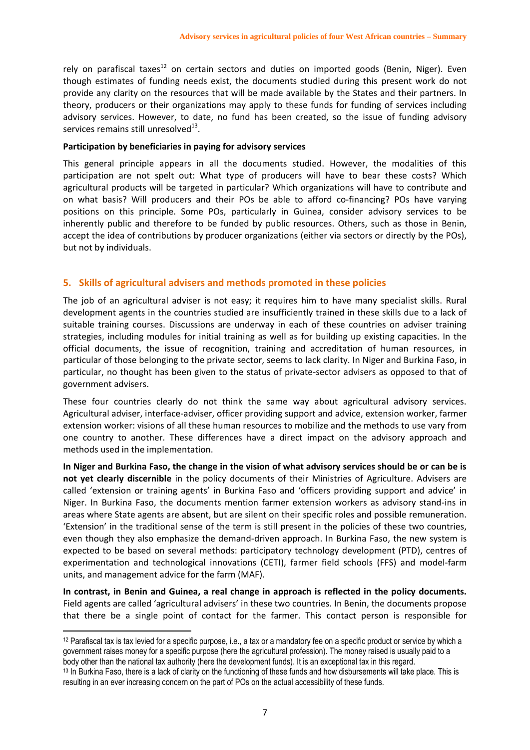rely on parafiscal taxes<sup>12</sup> on certain sectors and duties on imported goods (Benin, Niger). Even though estimates of funding needs exist, the documents studied during this present work do not provide any clarity on the resources that will be made available by the States and their partners. In theory, producers or their organizations may apply to these funds for funding of services including advisory services. However, to date, no fund has been created, so the issue of funding advisory services remains still unresolved $^{13}$ .

#### **Participation by beneficiaries in paying for advisory services**

This general principle appears in all the documents studied. However, the modalities of this participation are not spelt out: What type of producers will have to bear these costs? Which agricultural products will be targeted in particular? Which organizations will have to contribute and on what basis? Will producers and their POs be able to afford co-financing? POs have varying positions on this principle. Some POs, particularly in Guinea, consider advisory services to be inherently public and therefore to be funded by public resources. Others, such as those in Benin, accept the idea of contributions by producer organizations (either via sectors or directly by the POs), but not by individuals.

# **5. Skills of agricultural advisers and methods promoted in these policies**

The job of an agricultural adviser is not easy; it requires him to have many specialist skills. Rural development agents in the countries studied are insufficiently trained in these skills due to a lack of suitable training courses. Discussions are underway in each of these countries on adviser training strategies, including modules for initial training as well as for building up existing capacities. In the official documents, the issue of recognition, training and accreditation of human resources, in particular of those belonging to the private sector, seems to lack clarity. In Niger and Burkina Faso, in particular, no thought has been given to the status of private-sector advisers as opposed to that of government advisers.

These four countries clearly do not think the same way about agricultural advisory services. Agricultural adviser, interface-adviser, officer providing support and advice, extension worker, farmer extension worker: visions of all these human resources to mobilize and the methods to use vary from one country to another. These differences have a direct impact on the advisory approach and methods used in the implementation.

**In Niger and Burkina Faso, the change in the vision of what advisory services should be or can be is not yet clearly discernible** in the policy documents of their Ministries of Agriculture. Advisers are called 'extension or training agents' in Burkina Faso and 'officers providing support and advice' in Niger. In Burkina Faso, the documents mention farmer extension workers as advisory stand-ins in areas where State agents are absent, but are silent on their specific roles and possible remuneration. 'Extension' in the traditional sense of the term is still present in the policies of these two countries, even though they also emphasize the demand-driven approach. In Burkina Faso, the new system is expected to be based on several methods: participatory technology development (PTD), centres of experimentation and technological innovations (CETI), farmer field schools (FFS) and model-farm units, and management advice for the farm (MAF).

**In contrast, in Benin and Guinea, a real change in approach is reflected in the policy documents.** Field agents are called 'agricultural advisers' in these two countries. In Benin, the documents propose that there be a single point of contact for the farmer. This contact person is responsible for

<sup>12</sup> Parafiscal tax is tax levied for a specific purpose, i.e., a tax or a mandatory fee on a specific product or service by which a government raises money for a specific purpose (here the agricultural profession). The money raised is usually paid to a body other than the national tax authority (here the development funds). It is an exceptional tax in this regard.

<sup>&</sup>lt;sup>13</sup> In Burkina Faso, there is a lack of clarity on the functioning of these funds and how disbursements will take place. This is resulting in an ever increasing concern on the part of POs on the actual accessibility of these funds.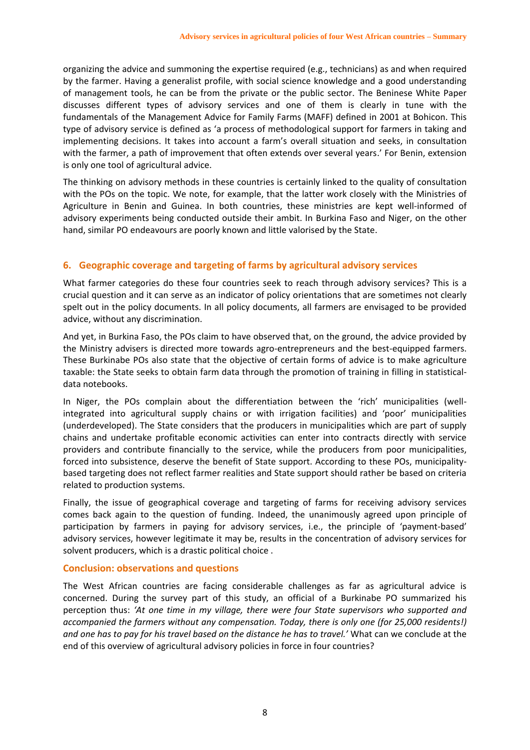organizing the advice and summoning the expertise required (e.g., technicians) as and when required by the farmer. Having a generalist profile, with social science knowledge and a good understanding of management tools, he can be from the private or the public sector. The Beninese White Paper discusses different types of advisory services and one of them is clearly in tune with the fundamentals of the Management Advice for Family Farms (MAFF) defined in 2001 at Bohicon. This type of advisory service is defined as 'a process of methodological support for farmers in taking and implementing decisions. It takes into account a farm's overall situation and seeks, in consultation with the farmer, a path of improvement that often extends over several years.' For Benin, extension is only one tool of agricultural advice.

The thinking on advisory methods in these countries is certainly linked to the quality of consultation with the POs on the topic. We note, for example, that the latter work closely with the Ministries of Agriculture in Benin and Guinea. In both countries, these ministries are kept well-informed of advisory experiments being conducted outside their ambit. In Burkina Faso and Niger, on the other hand, similar PO endeavours are poorly known and little valorised by the State.

# **6. Geographic coverage and targeting of farms by agricultural advisory services**

What farmer categories do these four countries seek to reach through advisory services? This is a crucial question and it can serve as an indicator of policy orientations that are sometimes not clearly spelt out in the policy documents. In all policy documents, all farmers are envisaged to be provided advice, without any discrimination.

And yet, in Burkina Faso, the POs claim to have observed that, on the ground, the advice provided by the Ministry advisers is directed more towards agro-entrepreneurs and the best-equipped farmers. These Burkinabe POs also state that the objective of certain forms of advice is to make agriculture taxable: the State seeks to obtain farm data through the promotion of training in filling in statisticaldata notebooks.

In Niger, the POs complain about the differentiation between the 'rich' municipalities (wellintegrated into agricultural supply chains or with irrigation facilities) and 'poor' municipalities (underdeveloped). The State considers that the producers in municipalities which are part of supply chains and undertake profitable economic activities can enter into contracts directly with service providers and contribute financially to the service, while the producers from poor municipalities, forced into subsistence, deserve the benefit of State support. According to these POs, municipalitybased targeting does not reflect farmer realities and State support should rather be based on criteria related to production systems.

Finally, the issue of geographical coverage and targeting of farms for receiving advisory services comes back again to the question of funding. Indeed, the unanimously agreed upon principle of participation by farmers in paying for advisory services, i.e., the principle of 'payment-based' advisory services, however legitimate it may be, results in the concentration of advisory services for solvent producers, which is a drastic political choice .

#### **Conclusion: observations and questions**

The West African countries are facing considerable challenges as far as agricultural advice is concerned. During the survey part of this study, an official of a Burkinabe PO summarized his perception thus: *'At one time in my village, there were four State supervisors who supported and accompanied the farmers without any compensation. Today, there is only one (for 25,000 residents!) and one has to pay for his travel based on the distance he has to travel.'* What can we conclude at the end of this overview of agricultural advisory policies in force in four countries?